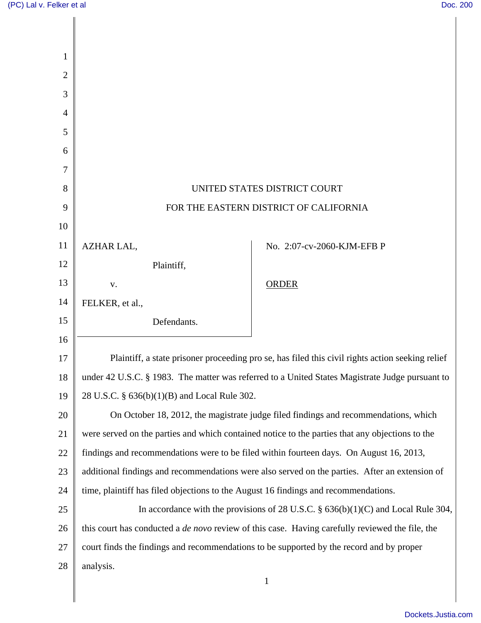| 1              |                                                                                                        |                                                                                                  |
|----------------|--------------------------------------------------------------------------------------------------------|--------------------------------------------------------------------------------------------------|
| $\overline{2}$ |                                                                                                        |                                                                                                  |
| 3              |                                                                                                        |                                                                                                  |
| 4              |                                                                                                        |                                                                                                  |
| 5              |                                                                                                        |                                                                                                  |
| 6              |                                                                                                        |                                                                                                  |
| 7              |                                                                                                        |                                                                                                  |
| 8              | UNITED STATES DISTRICT COURT                                                                           |                                                                                                  |
| 9              | FOR THE EASTERN DISTRICT OF CALIFORNIA                                                                 |                                                                                                  |
| 10             |                                                                                                        |                                                                                                  |
| 11             | AZHAR LAL,                                                                                             | No. 2:07-cv-2060-KJM-EFB P                                                                       |
| 12             | Plaintiff,                                                                                             |                                                                                                  |
| 13             | V.                                                                                                     | <b>ORDER</b>                                                                                     |
| 14             | FELKER, et al.,                                                                                        |                                                                                                  |
| 15             | Defendants.                                                                                            |                                                                                                  |
| 16             |                                                                                                        |                                                                                                  |
| 17             |                                                                                                        | Plaintiff, a state prisoner proceeding pro se, has filed this civil rights action seeking relief |
| 18             | under 42 U.S.C. § 1983. The matter was referred to a United States Magistrate Judge pursuant to        |                                                                                                  |
| 19             | 28 U.S.C. § 636(b)(1)(B) and Local Rule 302.                                                           |                                                                                                  |
| 20             | On October 18, 2012, the magistrate judge filed findings and recommendations, which                    |                                                                                                  |
| 21             | were served on the parties and which contained notice to the parties that any objections to the        |                                                                                                  |
| 22             |                                                                                                        | findings and recommendations were to be filed within fourteen days. On August 16, 2013,          |
| 23             | additional findings and recommendations were also served on the parties. After an extension of         |                                                                                                  |
| 24             | time, plaintiff has filed objections to the August 16 findings and recommendations.                    |                                                                                                  |
| 25             | In accordance with the provisions of 28 U.S.C. $\S$ 636(b)(1)(C) and Local Rule 304,                   |                                                                                                  |
| 26             | this court has conducted a <i>de novo</i> review of this case. Having carefully reviewed the file, the |                                                                                                  |
| 27             |                                                                                                        | court finds the findings and recommendations to be supported by the record and by proper         |
| 28             | analysis.                                                                                              |                                                                                                  |
|                |                                                                                                        | $\mathbf{1}$                                                                                     |